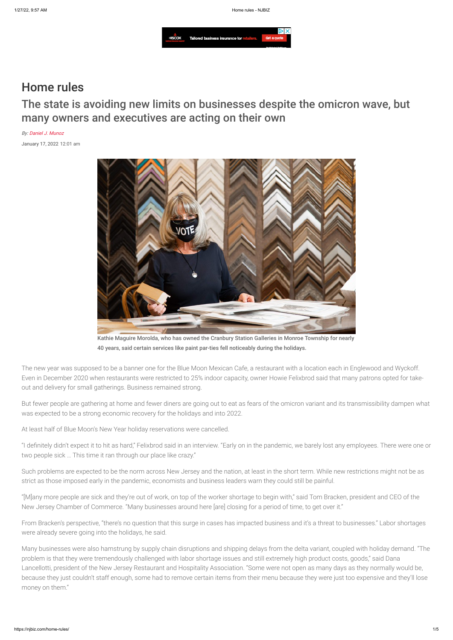

# Home rules

The state is avoiding new limits on businesses despite the omicron wave, but many owners and executives are acting on their own

By: [Daniel J. Munoz](mailto:dmunoz@njbiz.com)

January 17, 2022 12:01 am



Kathie Maguire Morolda, who has owned the Cranbury Station Galleries in Monroe Township for nearly 40 years, said certain services like paint par-ties fell noticeably during the holidays.

The new year was supposed to be a banner one for the Blue Moon Mexican Cafe, a restaurant with a location each in Englewood and Wyckoff. Even in December 2020 when restaurants were restricted to 25% indoor capacity, owner Howie Felixbrod said that many patrons opted for takeout and delivery for small gatherings. Business remained strong.

But fewer people are gathering at home and fewer diners are going out to eat as fears of the omicron variant and its transmissibility dampen what was expected to be a strong economic recovery for the holidays and into 2022.

At least half of Blue Moon's New Year holiday reservations were cancelled.

"I definitely didn't expect it to hit as hard," Felixbrod said in an interview. "Early on in the pandemic, we barely lost any employees. There were one or two people sick … This time it ran through our place like crazy."

Such problems are expected to be the norm across New Jersey and the nation, at least in the short term. While new restrictions might not be as strict as those imposed early in the pandemic, economists and business leaders warn they could still be painful.

"[M]any more people are sick and they're out of work, on top of the worker shortage to begin with," said Tom Bracken, president and CEO of the New Jersey Chamber of Commerce. "Many businesses around here [are] closing for a period of time, to get over it."

From Bracken's perspective, "there's no question that this surge in cases has impacted business and it's a threat to businesses." Labor shortages were already severe going into the holidays, he said.

Many businesses were also hamstrung by supply chain disruptions and shipping delays from the delta variant, coupled with holiday demand. "The problem is that they were tremendously challenged with labor shortage issues and still extremely high product costs, goods," said Dana Lancellotti, president of the New Jersey Restaurant and Hospitality Association. "Some were not open as many days as they normally would be, because they just couldn't staff enough, some had to remove certain items from their menu because they were just too expensive and they'll lose money on them."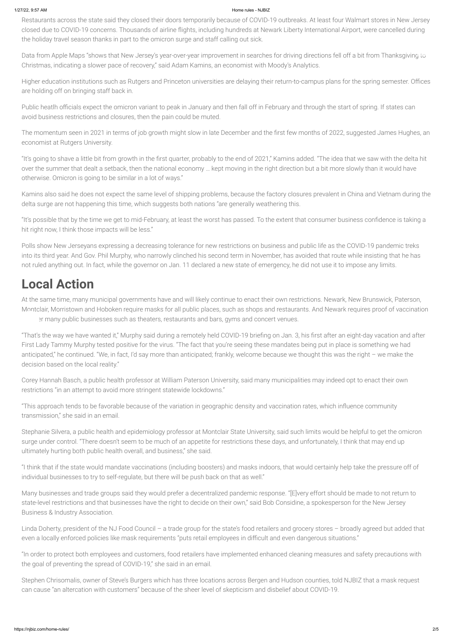Restaurants across the state said they closed their doors temporarily because of COVID-19 outbreaks. At least four Walmart stores in New Jersey closed due to COVID-19 concerns. Thousands of airline flights, including hundreds at Newark Liberty International Airport, were cancelled during the holiday travel season thanks in part to the omicron surge and staff calling out sick.

Public heatlh officials expect the omicron variant to peak in January and then fall off in February and through the start of spring. If states can avoid business restrictions and closures, then the pain could be muted.

Data from Apple Maps "shows that New Jersey's year-over-year improvement in searches for driving directions fell off a bit from Thanksgiving to Christmas, indicating a slower pace of recovery," said Adam Kamins, an economist with Moody's Analytics.

Higher education institutions such as Rutgers and Princeton universities are delaying their return-to-campus plans for the spring semester. Offices are holding off on bringing staff back in.

The momentum seen in 2021 in terms of job growth might slow in late December and the first few months of 2022, suggested James Hughes, an economist at Rutgers University.

At the same time, many municipal governments have and will likely continue to enact their own restrictions. Newark, New Brunswick, Paterson, Montclair, Morristown and Hoboken require masks for all public places, such as shops and restaurants. And Newark requires proof of vaccination er many public businesses such as theaters, restaurants and bars, gyms and concert venues.

"It's going to shave a little bit from growth in the first quarter, probably to the end of 2021," Kamins added. "The idea that we saw with the delta hit over the summer that dealt a setback, then the national economy … kept moving in the right direction but a bit more slowly than it would have otherwise. Omicron is going to be similar in a lot of ways."

Kamins also said he does not expect the same level of shipping problems, because the factory closures prevalent in China and Vietnam during the delta surge are not happening this time, which suggests both nations "are generally weathering this.

"It's possible that by the time we get to mid-February, at least the worst has passed. To the extent that consumer business confidence is taking a hit right now, I think those impacts will be less."

Polls show New Jerseyans expressing a decreasing tolerance for new restrictions on business and public life as the COVID-19 pandemic treks into its third year. And Gov. Phil Murphy, who narrowly clinched his second term in November, has avoided that route while insisting that he has not ruled anything out. In fact, while the governor on Jan. 11 declared a new state of emergency, he did not use it to impose any limits.

# **Local Action**

"That's the way we have wanted it," Murphy said during a remotely held COVID-19 briefing on Jan. 3, his first after an eight-day vacation and after First Lady Tammy Murphy tested positive for the virus. "The fact that you're seeing these mandates being put in place is something we had anticipated," he continued. "We, in fact, I'd say more than anticipated; frankly, welcome because we thought this was the right – we make the decision based on the local reality."

Corey Hannah Basch, a public health professor at William Paterson University, said many municipalities may indeed opt to enact their own restrictions "in an attempt to avoid more stringent statewide lockdowns."

"This approach tends to be favorable because of the variation in geographic density and vaccination rates, which influence community transmission," she said in an email.

Stephanie Silvera, a public health and epidemiology professor at Montclair State University, said such limits would be helpful to get the omicron surge under control. "There doesn't seem to be much of an appetite for restrictions these days, and unfortunately, I think that may end up ultimately hurting both public health overall, and business," she said.

"I think that if the state would mandate vaccinations (including boosters) and masks indoors, that would certainly help take the pressure off of individual businesses to try to self-regulate, but there will be push back on that as well."

Many businesses and trade groups said they would prefer a decentralized pandemic response. "[E]very effort should be made to not return to state-level restrictions and that businesses have the right to decide on their own," said Bob Considine, a spokesperson for the New Jersey Business & Industry Association.

Linda Doherty, president of the NJ Food Council – a trade group for the state's food retailers and grocery stores – broadly agreed but added that even a locally enforced policies like mask requirements "puts retail employees in difficult and even dangerous situations."

"In order to protect both employees and customers, food retailers have implemented enhanced cleaning measures and safety precautions with the goal of preventing the spread of COVID-19," she said in an email.

Stephen Chrisomalis, owner of Steve's Burgers which has three locations across Bergen and Hudson counties, told NJBIZ that a mask request can cause "an altercation with customers" because of the sheer level of skepticism and disbelief about COVID-19.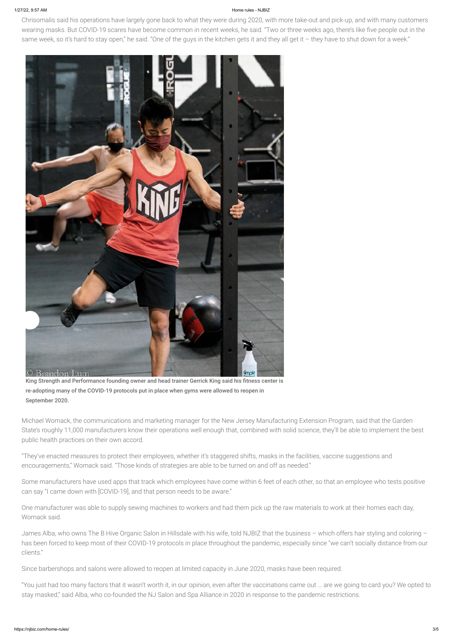Chrisomalis said his operations have largely gone back to what they were during 2020, with more take-out and pick-up, and with many customers wearing masks. But COVID-19 scares have become common in recent weeks, he said. "Two or three weeks ago, there's like five people out in the same week, so it's hard to stay open," he said. "One of the guys in the kitchen gets it and they all get it - they have to shut down for a week."



King Strength and Performance founding owner and head trainer Gerrick King said his fitness center is re-adopting many of the COVID-19 protocols put in place when gyms were allowed to reopen in September 2020.

Michael Womack, the communications and marketing manager for the New Jersey Manufacturing Extension Program, said that the Garden State's roughly 11,000 manufacturers know their operations well enough that, combined with solid science, they'll be able to implement the best public health practices on their own accord.

"They've enacted measures to protect their employees, whether it's staggered shifts, masks in the facilities, vaccine suggestions and encouragements," Womack said. "Those kinds of strategies are able to be turned on and off as needed."

Some manufacturers have used apps that track which employees have come within 6 feet of each other, so that an employee who tests positive

can say "I came down with [COVID-19], and that person needs to be aware."

One manufacturer was able to supply sewing machines to workers and had them pick up the raw materials to work at their homes each day, Womack said.

James Alba, who owns The B Hive Organic Salon in Hillsdale with his wife, told NJBIZ that the business – which offers hair styling and coloring – has been forced to keep most of their COVID-19 protocols in place throughout the pandemic, especially since "we can't socially distance from our clients."

Since barbershops and salons were allowed to reopen at limited capacity in June 2020, masks have been required.

"You just had too many factors that it wasn't worth it, in our opinion, even after the vaccinations came out … are we going to card you? We opted to stay masked," said Alba, who co-founded the NJ Salon and Spa Alliance in 2020 in response to the pandemic restrictions.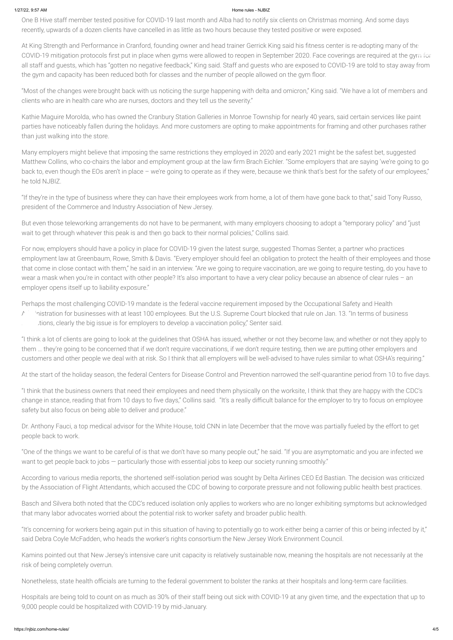One B Hive staff member tested positive for COVID-19 last month and Alba had to notify six clients on Christmas morning. And some days recently, upwards of a dozen clients have cancelled in as little as two hours because they tested positive or were exposed.

At King Strength and Performance in Cranford, founding owner and head trainer Gerrick King said his fitness center is re-adopting many of the COVID-19 mitigation protocols first put in place when gyms were allowed to reopen in September 2020. Face coverings are required at the gym for all staff and guests, which has "gotten no negative feedback," King said. Staff and guests who are exposed to COVID-19 are told to stay away from the gym and capacity has been reduced both for classes and the number of people allowed on the gym floor.

"Most of the changes were brought back with us noticing the surge happening with delta and omicron," King said. "We have a lot of members and clients who are in health care who are nurses, doctors and they tell us the severity."

Kathie Maguire Morolda, who has owned the Cranbury Station Galleries in Monroe Township for nearly 40 years, said certain services like paint parties have noticeably fallen during the holidays. And more customers are opting to make appointments for framing and other purchases rather than just walking into the store.

Perhaps the most challenging COVID-19 mandate is the federal vaccine requirement imposed by the Occupational Safety and Health A inistration for businesses with at least 100 employees. But the U.S. Supreme Court blocked that rule on Jan. 13. "In terms of business tions, clearly the big issue is for employers to develop a vaccination policy," Senter said.

Many employers might believe that imposing the same restrictions they employed in 2020 and early 2021 might be the safest bet, suggested Matthew Collins, who co-chairs the labor and employment group at the law firm Brach Eichler. "Some employers that are saying 'we're going to go back to, even though the EOs aren't in place – we're going to operate as if they were, because we think that's best for the safety of our employees," he told NJBIZ.

"If they're in the type of business where they can have their employees work from home, a lot of them have gone back to that," said Tony Russo, president of the Commerce and Industry Association of New Jersey.

But even those teleworking arrangements do not have to be permanent, with many employers choosing to adopt a "temporary policy" and "just wait to get through whatever this peak is and then go back to their normal policies," Collins said.

For now, employers should have a policy in place for COVID-19 given the latest surge, suggested Thomas Senter, a partner who practices employment law at Greenbaum, Rowe, Smith & Davis. "Every employer should feel an obligation to protect the health of their employees and those that come in close contact with them," he said in an interview. "Are we going to require vaccination, are we going to require testing, do you have to wear a mask when you're in contact with other people? It's also important to have a very clear policy because an absence of clear rules – an employer opens itself up to liability exposure."

"I think a lot of clients are going to look at the guidelines that OSHA has issued, whether or not they become law, and whether or not they apply to them … they're going to be concerned that if we don't require vaccinations, if we don't require testing, then we are putting other employers and customers and other people we deal with at risk. So I think that all employers will be well-advised to have rules similar to what OSHA's requiring."

At the start of the holiday season, the federal Centers for Disease Control and Prevention narrowed the self-quarantine period from 10 to five days.

"I think that the business owners that need their employees and need them physically on the worksite, I think that they are happy with the CDC's change in stance, reading that from 10 days to five days," Collins said. "It's a really difficult balance for the employer to try to focus on employee safety but also focus on being able to deliver and produce."

Dr. Anthony Fauci, a top medical advisor for the White House, told CNN in late December that the move was partially fueled by the effort to get people back to work.

"One of the things we want to be careful of is that we don't have so many people out," he said. "If you are asymptomatic and you are infected we want to get people back to jobs — particularly those with essential jobs to keep our society running smoothly."

According to various media reports, the shortened self-isolation period was sought by Delta Airlines CEO Ed Bastian. The decision was criticized

by the Association of Flight Attendants, which accused the CDC of bowing to corporate pressure and not following public health best practices.

Basch and Silvera both noted that the CDC's reduced isolation only applies to workers who are no longer exhibiting symptoms but acknowledged that many labor advocates worried about the potential risk to worker safety and broader public health.

"It's concerning for workers being again put in this situation of having to potentially go to work either being a carrier of this or being infected by it," said Debra Coyle McFadden, who heads the worker's rights consortium the New Jersey Work Environment Council.

Kamins pointed out that New Jersey's intensive care unit capacity is relatively sustainable now, meaning the hospitals are not necessarily at the risk of being completely overrun.

Nonetheless, state health officials are turning to the federal government to bolster the ranks at their hospitals and long-term care facilities.

Hospitals are being told to count on as much as 30% of their staff being out sick with COVID-19 at any given time, and the expectation that up to 9,000 people could be hospitalized with COVID-19 by mid-January.